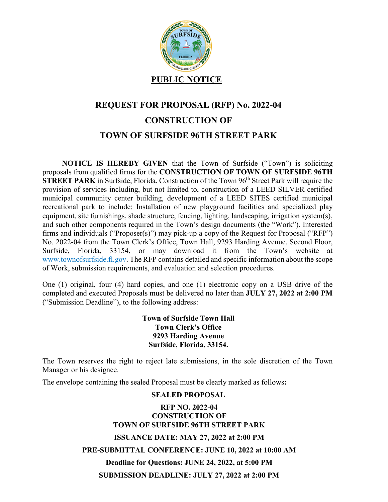

## **REQUEST FOR PROPOSAL (RFP) No. 2022-04 CONSTRUCTION OF TOWN OF SURFSIDE 96TH STREET PARK**

**NOTICE IS HEREBY GIVEN** that the Town of Surfside ("Town") is soliciting proposals from qualified firms for the **CONSTRUCTION OF TOWN OF SURFSIDE 96TH STREET PARK** in Surfside, Florida. Construction of the Town 96<sup>th</sup> Street Park will require the provision of services including, but not limited to, construction of a LEED SILVER certified municipal community center building, development of a LEED SITES certified municipal recreational park to include: Installation of new playground facilities and specialized play equipment, site furnishings, shade structure, fencing, lighting, landscaping, irrigation system(s), and such other components required in the Town's design documents (the "Work"). Interested firms and individuals ("Proposer(s)") may pick-up a copy of the Request for Proposal ("RFP") No. 2022-04 from the Town Clerk's Office, Town Hall, 9293 Harding Avenue, Second Floor, Surfside, Florida, 33154, or may download it from the Town's website at www.townofsurfside.fl.gov. The RFP contains detailed and specific information about the scope of Work, submission requirements, and evaluation and selection procedures.

One (1) original, four (4) hard copies, and one (1) electronic copy on a USB drive of the completed and executed Proposals must be delivered no later than **JULY 27, 2022 at 2:00 PM** ("Submission Deadline"), to the following address:

## **Town of Surfside Town Hall Town Clerk's Office 9293 Harding Avenue Surfside, Florida, 33154.**

The Town reserves the right to reject late submissions, in the sole discretion of the Town Manager or his designee.

The envelope containing the sealed Proposal must be clearly marked as follows**:**

## **SEALED PROPOSAL**

## **RFP NO. 2022-04 CONSTRUCTION OF TOWN OF SURFSIDE 96TH STREET PARK ISSUANCE DATE: MAY 27, 2022 at 2:00 PM PRE-SUBMITTAL CONFERENCE: JUNE 10, 2022 at 10:00 AM Deadline for Questions: JUNE 24, 2022, at 5:00 PM SUBMISSION DEADLINE: JULY 27, 2022 at 2:00 PM**